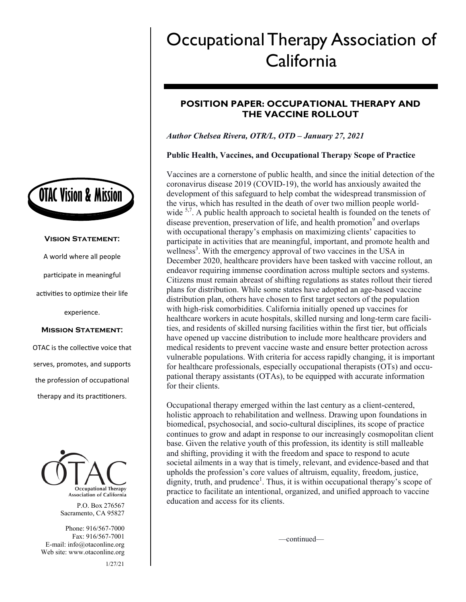

#### **Vision Statement:**

A world where all people

participate in meaningful

activities to optimize their life

experience.

#### **Mission Statement:**

OTAC is the collective voice that serves, promotes, and supports the profession of occupational therapy and its practitioners.



P.O. Box 276567 Sacramento, CA 95827

Phone: 916/567-7000 Fax: 916/567-7001 E-mail: info@otaconline.org Web site: www.otaconline.org 1/27/21

# Occupational Therapy Association of **California**

## **POSITION PAPER: OCCUPATIONAL THERAPY AND THE VACCINE ROLLOUT**

## *Author Chelsea Rivera, OTR/L, OTD – January 27, 2021*

## **Public Health, Vaccines, and Occupational Therapy Scope of Practice**

Vaccines are a cornerstone of public health, and since the initial detection of the coronavirus disease 2019 (COVID-19), the world has anxiously awaited the development of this safeguard to help combat the widespread transmission of the virus, which has resulted in the death of over two million people worldwide  $5,7$ . A public health approach to societal health is founded on the tenets of disease prevention, preservation of life, and health promotion<sup>9</sup> and overlaps with occupational therapy's emphasis on maximizing clients' capacities to participate in activities that are meaningful, important, and promote health and wellness<sup>3</sup>. With the emergency approval of two vaccines in the USA in December 2020, healthcare providers have been tasked with vaccine rollout, an endeavor requiring immense coordination across multiple sectors and systems. Citizens must remain abreast of shifting regulations as states rollout their tiered plans for distribution. While some states have adopted an age-based vaccine distribution plan, others have chosen to first target sectors of the population with high-risk comorbidities. California initially opened up vaccines for healthcare workers in acute hospitals, skilled nursing and long-term care facilities, and residents of skilled nursing facilities within the first tier, but officials have opened up vaccine distribution to include more healthcare providers and medical residents to prevent vaccine waste and ensure better protection across vulnerable populations. With criteria for access rapidly changing, it is important for healthcare professionals, especially occupational therapists (OTs) and occupational therapy assistants (OTAs), to be equipped with accurate information for their clients.

Occupational therapy emerged within the last century as a client-centered, holistic approach to rehabilitation and wellness. Drawing upon foundations in biomedical, psychosocial, and socio-cultural disciplines, its scope of practice continues to grow and adapt in response to our increasingly cosmopolitan client base. Given the relative youth of this profession, its identity is still malleable and shifting, providing it with the freedom and space to respond to acute societal ailments in a way that is timely, relevant, and evidence-based and that upholds the profession's core values of altruism, equality, freedom, justice,  $d$ ignity, truth, and prudence<sup>1</sup>. Thus, it is within occupational therapy's scope of practice to facilitate an intentional, organized, and unified approach to vaccine education and access for its clients.

—continued—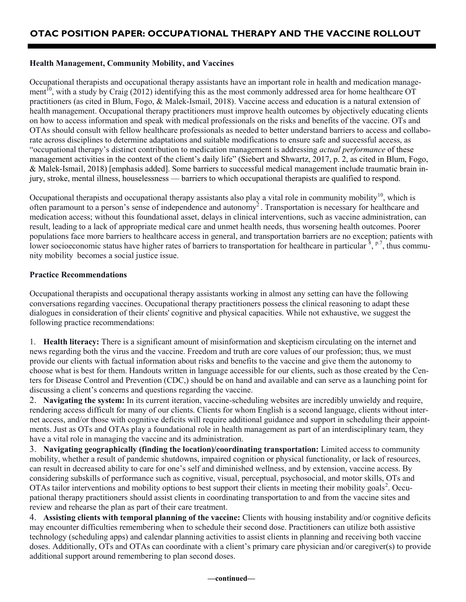## **Health Management, Community Mobility, and Vaccines**

Occupational therapists and occupational therapy assistants have an important role in health and medication management<sup> $10$ </sup>, with a study by Craig (2012) identifying this as the most commonly addressed area for home healthcare OT practitioners (as cited in Blum, Fogo, & Malek-Ismail, 2018). Vaccine access and education is a natural extension of health management. Occupational therapy practitioners must improve health outcomes by objectively educating clients on how to access information and speak with medical professionals on the risks and benefits of the vaccine. OTs and OTAs should consult with fellow healthcare professionals as needed to better understand barriers to access and collaborate across disciplines to determine adaptations and suitable modifications to ensure safe and successful access, as "occupational therapy's distinct contribution to medication management is addressing *actual performance* of these management activities in the context of the client's daily life" (Siebert and Shwartz, 2017, p. 2, as cited in Blum, Fogo, & Malek-Ismail, 2018) [emphasis added]. Some barriers to successful medical management include traumatic brain injury, stroke, mental illness, houselessness — barriers to which occupational therapists are qualified to respond.

Occupational therapists and occupational therapy assistants also play a vital role in community mobility<sup>10</sup>, which is often paramount to a person's sense of independence and autonomy<sup>2</sup>. Transportation is necessary for healthcare and medication access; without this foundational asset, delays in clinical interventions, such as vaccine administration, can result, leading to a lack of appropriate medical care and unmet health needs, thus worsening health outcomes. Poorer populations face more barriers to healthcare access in general, and transportation barriers are no exception; patients with lower socioeconomic status have higher rates of barriers to transportation for healthcare in particular  $\frac{8}{3}$ ,  $P$ ,  $\frac{7}{2}$ , thus community mobility becomes a social justice issue.

#### **Practice Recommendations**

Occupational therapists and occupational therapy assistants working in almost any setting can have the following conversations regarding vaccines. Occupational therapy practitioners possess the clinical reasoning to adapt these dialogues in consideration of their clients' cognitive and physical capacities. While not exhaustive, we suggest the following practice recommendations:

1. **Health literacy:** There is a significant amount of misinformation and skepticism circulating on the internet and news regarding both the virus and the vaccine. Freedom and truth are core values of our profession; thus, we must provide our clients with factual information about risks and benefits to the vaccine and give them the autonomy to choose what is best for them. Handouts written in language accessible for our clients, such as those created by the Centers for Disease Control and Prevention (CDC,) should be on hand and available and can serve as a launching point for discussing a client's concerns and questions regarding the vaccine.

2. **Navigating the system:** In its current iteration, vaccine-scheduling websites are incredibly unwieldy and require, rendering access difficult for many of our clients. Clients for whom English is a second language, clients without internet access, and/or those with cognitive deficits will require additional guidance and support in scheduling their appointments. Just as OTs and OTAs play a foundational role in health management as part of an interdisciplinary team, they have a vital role in managing the vaccine and its administration.

3. **Navigating geographically (finding the location)/coordinating transportation:** Limited access to community mobility, whether a result of pandemic shutdowns, impaired cognition or physical functionality, or lack of resources, can result in decreased ability to care for one's self and diminished wellness, and by extension, vaccine access. By considering subskills of performance such as cognitive, visual, perceptual, psychosocial, and motor skills, OTs and OTAs tailor interventions and mobility options to best support their clients in meeting their mobility goals<sup>2</sup>. Occupational therapy practitioners should assist clients in coordinating transportation to and from the vaccine sites and review and rehearse the plan as part of their care treatment.

4. **Assisting clients with temporal planning of the vaccine:** Clients with housing instability and/or cognitive deficits may encounter difficulties remembering when to schedule their second dose. Practitioners can utilize both assistive technology (scheduling apps) and calendar planning activities to assist clients in planning and receiving both vaccine doses. Additionally, OTs and OTAs can coordinate with a client's primary care physician and/or caregiver(s) to provide additional support around remembering to plan second doses.